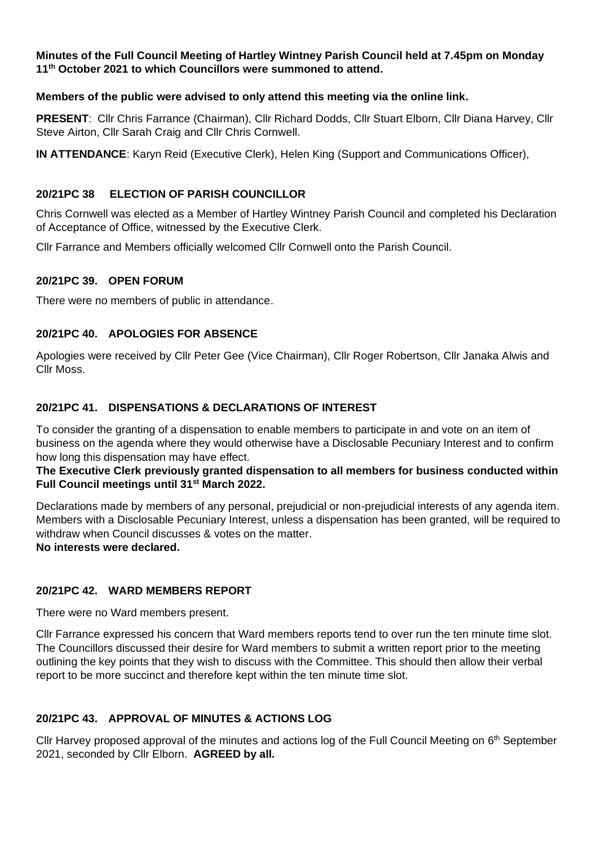#### **Minutes of the Full Council Meeting of Hartley Wintney Parish Council held at 7.45pm on Monday 11th October 2021 to which Councillors were summoned to attend.**

### **Members of the public were advised to only attend this meeting via the online link.**

**PRESENT**: Cllr Chris Farrance (Chairman), Cllr Richard Dodds, Cllr Stuart Elborn, Cllr Diana Harvey, Cllr Steve Airton, Cllr Sarah Craig and Cllr Chris Cornwell.

**IN ATTENDANCE**: Karyn Reid (Executive Clerk), Helen King (Support and Communications Officer),

### **20/21PC 38 ELECTION OF PARISH COUNCILLOR**

Chris Cornwell was elected as a Member of Hartley Wintney Parish Council and completed his Declaration of Acceptance of Office, witnessed by the Executive Clerk.

Cllr Farrance and Members officially welcomed Cllr Cornwell onto the Parish Council.

### **20/21PC 39. OPEN FORUM**

There were no members of public in attendance.

### **20/21PC 40. APOLOGIES FOR ABSENCE**

Apologies were received by Cllr Peter Gee (Vice Chairman), Cllr Roger Robertson, Cllr Janaka Alwis and Cllr Moss.

### **20/21PC 41. DISPENSATIONS & DECLARATIONS OF INTEREST**

To consider the granting of a dispensation to enable members to participate in and vote on an item of business on the agenda where they would otherwise have a Disclosable Pecuniary Interest and to confirm how long this dispensation may have effect.

#### **The Executive Clerk previously granted dispensation to all members for business conducted within Full Council meetings until 31st March 2022.**

Declarations made by members of any personal, prejudicial or non-prejudicial interests of any agenda item. Members with a Disclosable Pecuniary Interest, unless a dispensation has been granted, will be required to withdraw when Council discusses & votes on the matter.

# **No interests were declared.**

#### **20/21PC 42. WARD MEMBERS REPORT**

There were no Ward members present.

Cllr Farrance expressed his concern that Ward members reports tend to over run the ten minute time slot. The Councillors discussed their desire for Ward members to submit a written report prior to the meeting outlining the key points that they wish to discuss with the Committee. This should then allow their verbal report to be more succinct and therefore kept within the ten minute time slot.

# **20/21PC 43. APPROVAL OF MINUTES & ACTIONS LOG**

Cllr Harvey proposed approval of the minutes and actions log of the Full Council Meeting on 6<sup>th</sup> September 2021, seconded by Cllr Elborn. **AGREED by all.**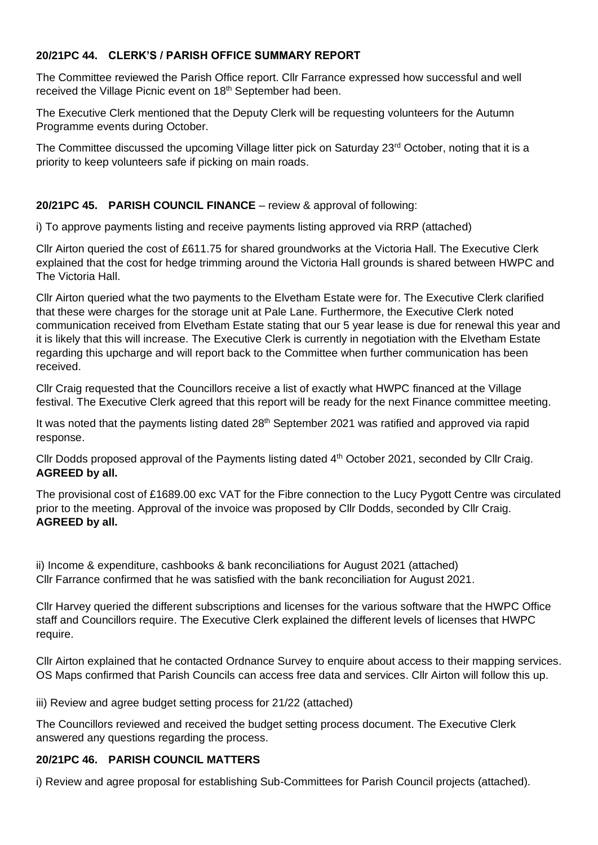### **20/21PC 44. CLERK'S / PARISH OFFICE SUMMARY REPORT**

The Committee reviewed the Parish Office report. Cllr Farrance expressed how successful and well received the Village Picnic event on 18<sup>th</sup> September had been.

The Executive Clerk mentioned that the Deputy Clerk will be requesting volunteers for the Autumn Programme events during October.

The Committee discussed the upcoming Village litter pick on Saturday 23<sup>rd</sup> October, noting that it is a priority to keep volunteers safe if picking on main roads.

### **20/21PC 45. PARISH COUNCIL FINANCE** – review & approval of following:

i) To approve payments listing and receive payments listing approved via RRP (attached)

Cllr Airton queried the cost of £611.75 for shared groundworks at the Victoria Hall. The Executive Clerk explained that the cost for hedge trimming around the Victoria Hall grounds is shared between HWPC and The Victoria Hall.

Cllr Airton queried what the two payments to the Elvetham Estate were for. The Executive Clerk clarified that these were charges for the storage unit at Pale Lane. Furthermore, the Executive Clerk noted communication received from Elvetham Estate stating that our 5 year lease is due for renewal this year and it is likely that this will increase. The Executive Clerk is currently in negotiation with the Elvetham Estate regarding this upcharge and will report back to the Committee when further communication has been received.

Cllr Craig requested that the Councillors receive a list of exactly what HWPC financed at the Village festival. The Executive Clerk agreed that this report will be ready for the next Finance committee meeting.

It was noted that the payments listing dated 28<sup>th</sup> September 2021 was ratified and approved via rapid response.

Cllr Dodds proposed approval of the Payments listing dated 4<sup>th</sup> October 2021, seconded by Cllr Craig. **AGREED by all.**

The provisional cost of £1689.00 exc VAT for the Fibre connection to the Lucy Pygott Centre was circulated prior to the meeting. Approval of the invoice was proposed by Cllr Dodds, seconded by Cllr Craig. **AGREED by all.**

ii) Income & expenditure, cashbooks & bank reconciliations for August 2021 (attached) Cllr Farrance confirmed that he was satisfied with the bank reconciliation for August 2021.

Cllr Harvey queried the different subscriptions and licenses for the various software that the HWPC Office staff and Councillors require. The Executive Clerk explained the different levels of licenses that HWPC require.

Cllr Airton explained that he contacted Ordnance Survey to enquire about access to their mapping services. OS Maps confirmed that Parish Councils can access free data and services. Cllr Airton will follow this up.

iii) Review and agree budget setting process for 21/22 (attached)

The Councillors reviewed and received the budget setting process document. The Executive Clerk answered any questions regarding the process.

#### **20/21PC 46. PARISH COUNCIL MATTERS**

i) Review and agree proposal for establishing Sub-Committees for Parish Council projects (attached).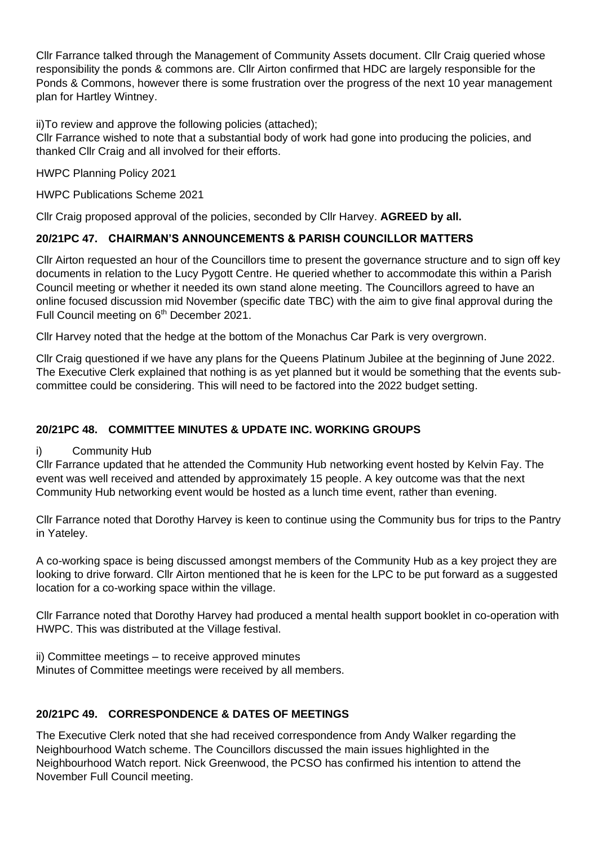Cllr Farrance talked through the Management of Community Assets document. Cllr Craig queried whose responsibility the ponds & commons are. Cllr Airton confirmed that HDC are largely responsible for the Ponds & Commons, however there is some frustration over the progress of the next 10 year management plan for Hartley Wintney.

ii)To review and approve the following policies (attached);

Cllr Farrance wished to note that a substantial body of work had gone into producing the policies, and thanked Cllr Craig and all involved for their efforts.

HWPC Planning Policy 2021

HWPC Publications Scheme 2021

Cllr Craig proposed approval of the policies, seconded by Cllr Harvey. **AGREED by all.**

# **20/21PC 47. CHAIRMAN'S ANNOUNCEMENTS & PARISH COUNCILLOR MATTERS**

Cllr Airton requested an hour of the Councillors time to present the governance structure and to sign off key documents in relation to the Lucy Pygott Centre. He queried whether to accommodate this within a Parish Council meeting or whether it needed its own stand alone meeting. The Councillors agreed to have an online focused discussion mid November (specific date TBC) with the aim to give final approval during the Full Council meeting on 6<sup>th</sup> December 2021.

Cllr Harvey noted that the hedge at the bottom of the Monachus Car Park is very overgrown.

Cllr Craig questioned if we have any plans for the Queens Platinum Jubilee at the beginning of June 2022. The Executive Clerk explained that nothing is as yet planned but it would be something that the events subcommittee could be considering. This will need to be factored into the 2022 budget setting.

# **20/21PC 48. COMMITTEE MINUTES & UPDATE INC. WORKING GROUPS**

i) Community Hub

Cllr Farrance updated that he attended the Community Hub networking event hosted by Kelvin Fay. The event was well received and attended by approximately 15 people. A key outcome was that the next Community Hub networking event would be hosted as a lunch time event, rather than evening.

Cllr Farrance noted that Dorothy Harvey is keen to continue using the Community bus for trips to the Pantry in Yateley.

A co-working space is being discussed amongst members of the Community Hub as a key project they are looking to drive forward. Cllr Airton mentioned that he is keen for the LPC to be put forward as a suggested location for a co-working space within the village.

Cllr Farrance noted that Dorothy Harvey had produced a mental health support booklet in co-operation with HWPC. This was distributed at the Village festival.

ii) Committee meetings – to receive approved minutes Minutes of Committee meetings were received by all members.

# **20/21PC 49. CORRESPONDENCE & DATES OF MEETINGS**

The Executive Clerk noted that she had received correspondence from Andy Walker regarding the Neighbourhood Watch scheme. The Councillors discussed the main issues highlighted in the Neighbourhood Watch report. Nick Greenwood, the PCSO has confirmed his intention to attend the November Full Council meeting.